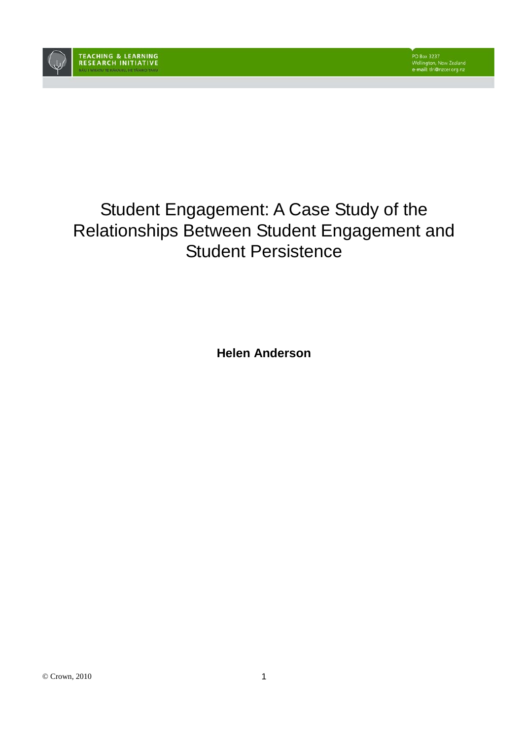

# Student Engagement: A Case Study of the Relationships Between Student Engagement and Student Persistence

**Helen Anderson**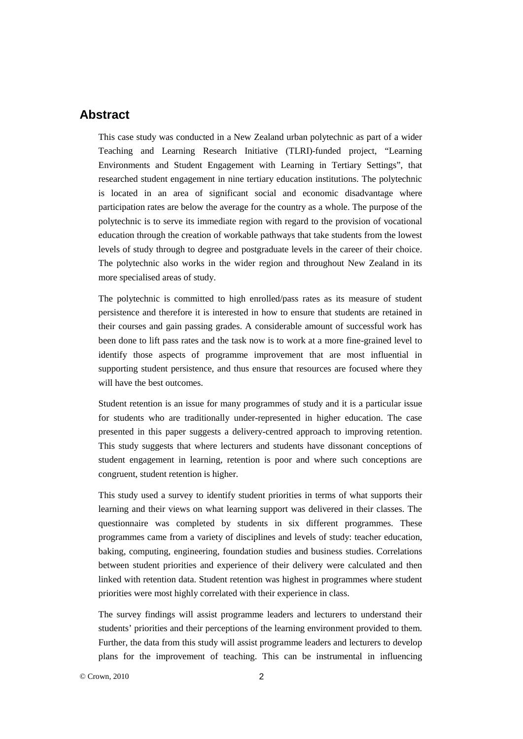# **Abstract**

This case study was conducted in a New Zealand urban polytechnic as part of a wider Teaching and Learning Research Initiative (TLRI)-funded project, "Learning Environments and Student Engagement with Learning in Tertiary Settings", that researched student engagement in nine tertiary education institutions. The polytechnic is located in an area of significant social and economic disadvantage where participation rates are below the average for the country as a whole. The purpose of the polytechnic is to serve its immediate region with regard to the provision of vocational education through the creation of workable pathways that take students from the lowest levels of study through to degree and postgraduate levels in the career of their choice. The polytechnic also works in the wider region and throughout New Zealand in its more specialised areas of study.

The polytechnic is committed to high enrolled/pass rates as its measure of student persistence and therefore it is interested in how to ensure that students are retained in their courses and gain passing grades. A considerable amount of successful work has been done to lift pass rates and the task now is to work at a more fine-grained level to identify those aspects of programme improvement that are most influential in supporting student persistence, and thus ensure that resources are focused where they will have the best outcomes.

Student retention is an issue for many programmes of study and it is a particular issue for students who are traditionally under-represented in higher education. The case presented in this paper suggests a delivery-centred approach to improving retention. This study suggests that where lecturers and students have dissonant conceptions of student engagement in learning, retention is poor and where such conceptions are congruent, student retention is higher.

This study used a survey to identify student priorities in terms of what supports their learning and their views on what learning support was delivered in their classes. The questionnaire was completed by students in six different programmes. These programmes came from a variety of disciplines and levels of study: teacher education, baking, computing, engineering, foundation studies and business studies. Correlations between student priorities and experience of their delivery were calculated and then linked with retention data. Student retention was highest in programmes where student priorities were most highly correlated with their experience in class.

The survey findings will assist programme leaders and lecturers to understand their students' priorities and their perceptions of the learning environment provided to them. Further, the data from this study will assist programme leaders and lecturers to develop plans for the improvement of teaching. This can be instrumental in influencing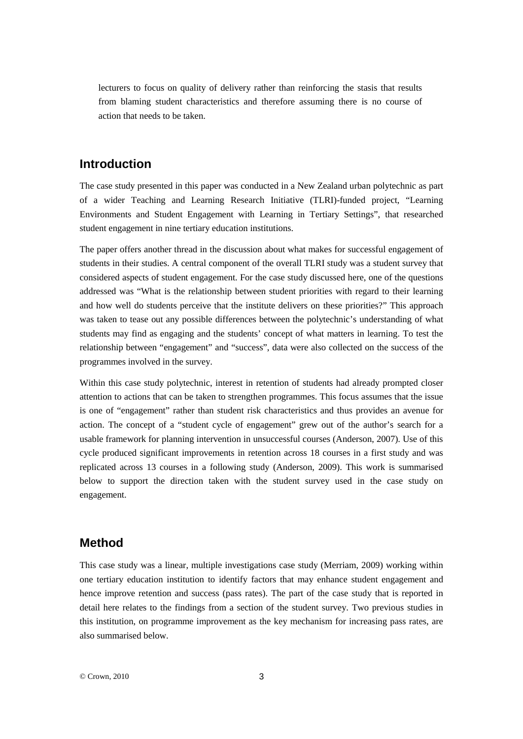lecturers to focus on quality of delivery rather than reinforcing the stasis that results from blaming student characteristics and therefore assuming there is no course of action that needs to be taken.

# **Introduction**

The case study presented in this paper was conducted in a New Zealand urban polytechnic as part of a wider Teaching and Learning Research Initiative (TLRI)-funded project, "Learning Environments and Student Engagement with Learning in Tertiary Settings", that researched student engagement in nine tertiary education institutions.

The paper offers another thread in the discussion about what makes for successful engagement of students in their studies. A central component of the overall TLRI study was a student survey that considered aspects of student engagement. For the case study discussed here, one of the questions addressed was "What is the relationship between student priorities with regard to their learning and how well do students perceive that the institute delivers on these priorities?" This approach was taken to tease out any possible differences between the polytechnic's understanding of what students may find as engaging and the students' concept of what matters in learning. To test the relationship between "engagement" and "success", data were also collected on the success of the programmes involved in the survey.

Within this case study polytechnic, interest in retention of students had already prompted closer attention to actions that can be taken to strengthen programmes. This focus assumes that the issue is one of "engagement" rather than student risk characteristics and thus provides an avenue for action. The concept of a "student cycle of engagement" grew out of the author's search for a usable framework for planning intervention in unsuccessful courses (Anderson, 2007). Use of this cycle produced significant improvements in retention across 18 courses in a first study and was replicated across 13 courses in a following study (Anderson, 2009). This work is summarised below to support the direction taken with the student survey used in the case study on engagement.

# **Method**

This case study was a linear, multiple investigations case study (Merriam, 2009) working within one tertiary education institution to identify factors that may enhance student engagement and hence improve retention and success (pass rates). The part of the case study that is reported in detail here relates to the findings from a section of the student survey. Two previous studies in this institution, on programme improvement as the key mechanism for increasing pass rates, are also summarised below.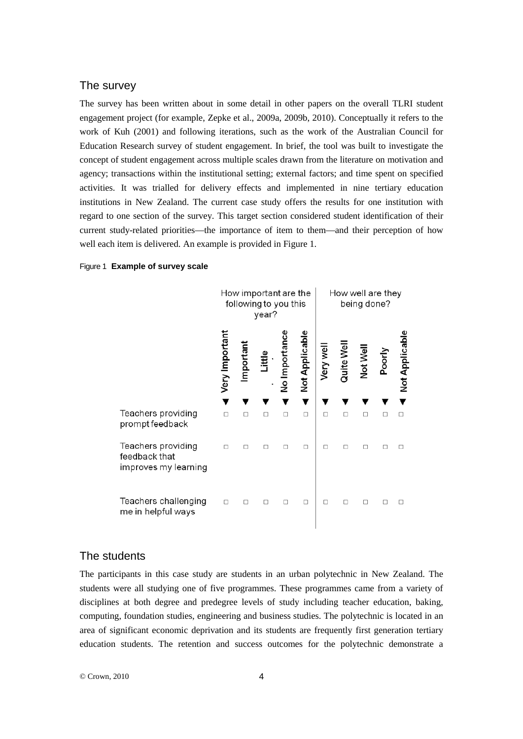#### The survey

The survey has been written about in some detail in other papers on the overall TLRI student engagement project (for example, Zepke et al., 2009a, 2009b, 2010). Conceptually it refers to the work of Kuh (2001) and following iterations, such as the work of the Australian Council for Education Research survey of student engagement. In brief, the tool was built to investigate the concept of student engagement across multiple scales drawn from the literature on motivation and agency; transactions within the institutional setting; external factors; and time spent on specified activities. It was trialled for delivery effects and implemented in nine tertiary education institutions in New Zealand. The current case study offers the results for one institution with regard to one section of the survey. This target section considered student identification of their current study-related priorities—the importance of item to them—and their perception of how well each item is delivered. An example is provided in Figure 1.

#### Figure 1 **Example of survey scale**

|                                                             | How important are the<br>following to you this<br>year? |           |        |              | How well are they<br>being done? |           |           |         |        |                |
|-------------------------------------------------------------|---------------------------------------------------------|-----------|--------|--------------|----------------------------------|-----------|-----------|---------|--------|----------------|
|                                                             | Very Important                                          | Important |        | No Importanc | Not Applicable                   | Very well | Quite Wel | Not Wel | Poorly | Not Applicable |
| Teachers providing<br>prompt feedback                       | □                                                       | $\Box$    | $\Box$ | $\Box$       | $\Box$                           | $\Box$    | □         | □       | □      |                |
| Teachers providing<br>feedback that<br>improves my learning |                                                         |           |        | п            | □                                |           | П         |         |        |                |
| Teachers challenging<br>me in helpful ways                  | п                                                       |           |        | п            | $\Box$                           |           | □         |         |        |                |

#### The students

The participants in this case study are students in an urban polytechnic in New Zealand. The students were all studying one of five programmes. These programmes came from a variety of disciplines at both degree and predegree levels of study including teacher education, baking, computing, foundation studies, engineering and business studies. The polytechnic is located in an area of significant economic deprivation and its students are frequently first generation tertiary education students. The retention and success outcomes for the polytechnic demonstrate a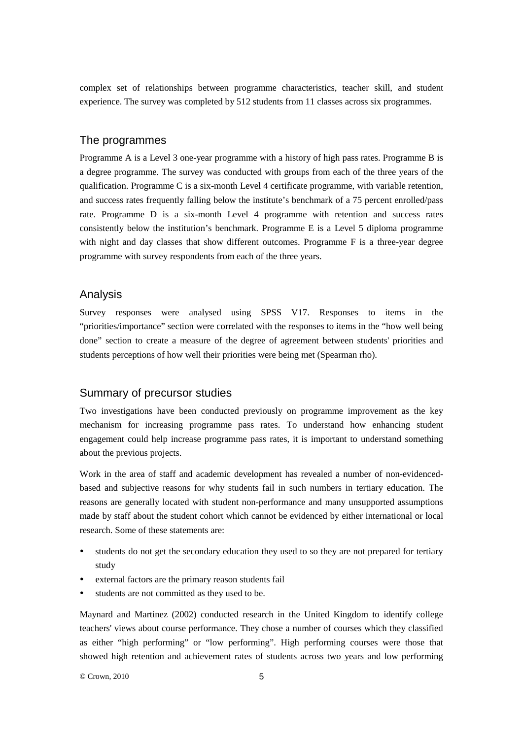complex set of relationships between programme characteristics, teacher skill, and student experience. The survey was completed by 512 students from 11 classes across six programmes.

#### The programmes

Programme A is a Level 3 one-year programme with a history of high pass rates. Programme B is a degree programme. The survey was conducted with groups from each of the three years of the qualification. Programme C is a six-month Level 4 certificate programme, with variable retention, and success rates frequently falling below the institute's benchmark of a 75 percent enrolled/pass rate. Programme D is a six-month Level 4 programme with retention and success rates consistently below the institution's benchmark. Programme E is a Level 5 diploma programme with night and day classes that show different outcomes. Programme F is a three-year degree programme with survey respondents from each of the three years.

#### Analysis

Survey responses were analysed using SPSS V17. Responses to items in the "priorities/importance" section were correlated with the responses to items in the "how well being done" section to create a measure of the degree of agreement between students' priorities and students perceptions of how well their priorities were being met (Spearman rho).

## Summary of precursor studies

Two investigations have been conducted previously on programme improvement as the key mechanism for increasing programme pass rates. To understand how enhancing student engagement could help increase programme pass rates, it is important to understand something about the previous projects.

Work in the area of staff and academic development has revealed a number of non-evidencedbased and subjective reasons for why students fail in such numbers in tertiary education. The reasons are generally located with student non-performance and many unsupported assumptions made by staff about the student cohort which cannot be evidenced by either international or local research. Some of these statements are:

- students do not get the secondary education they used to so they are not prepared for tertiary study
- external factors are the primary reason students fail
- students are not committed as they used to be.

Maynard and Martinez (2002) conducted research in the United Kingdom to identify college teachers' views about course performance. They chose a number of courses which they classified as either "high performing" or "low performing". High performing courses were those that showed high retention and achievement rates of students across two years and low performing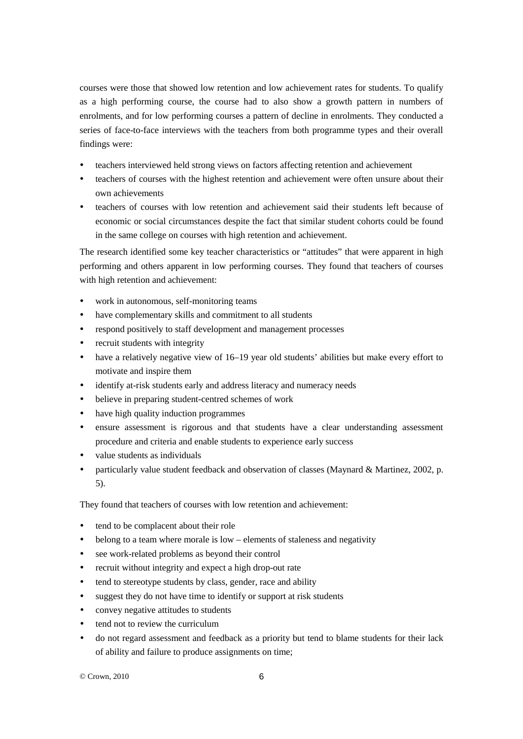courses were those that showed low retention and low achievement rates for students. To qualify as a high performing course, the course had to also show a growth pattern in numbers of enrolments, and for low performing courses a pattern of decline in enrolments. They conducted a series of face-to-face interviews with the teachers from both programme types and their overall findings were:

- teachers interviewed held strong views on factors affecting retention and achievement
- teachers of courses with the highest retention and achievement were often unsure about their own achievements
- teachers of courses with low retention and achievement said their students left because of economic or social circumstances despite the fact that similar student cohorts could be found in the same college on courses with high retention and achievement.

The research identified some key teacher characteristics or "attitudes" that were apparent in high performing and others apparent in low performing courses. They found that teachers of courses with high retention and achievement:

- work in autonomous, self-monitoring teams
- have complementary skills and commitment to all students
- respond positively to staff development and management processes
- recruit students with integrity
- have a relatively negative view of 16–19 year old students' abilities but make every effort to motivate and inspire them
- identify at-risk students early and address literacy and numeracy needs
- believe in preparing student-centred schemes of work
- have high quality induction programmes
- ensure assessment is rigorous and that students have a clear understanding assessment procedure and criteria and enable students to experience early success
- value students as individuals
- particularly value student feedback and observation of classes (Maynard & Martinez, 2002, p. 5).

They found that teachers of courses with low retention and achievement:

- tend to be complacent about their role
- belong to a team where morale is low elements of staleness and negativity
- see work-related problems as beyond their control
- recruit without integrity and expect a high drop-out rate
- tend to stereotype students by class, gender, race and ability
- suggest they do not have time to identify or support at risk students
- convey negative attitudes to students
- tend not to review the curriculum
- do not regard assessment and feedback as a priority but tend to blame students for their lack of ability and failure to produce assignments on time;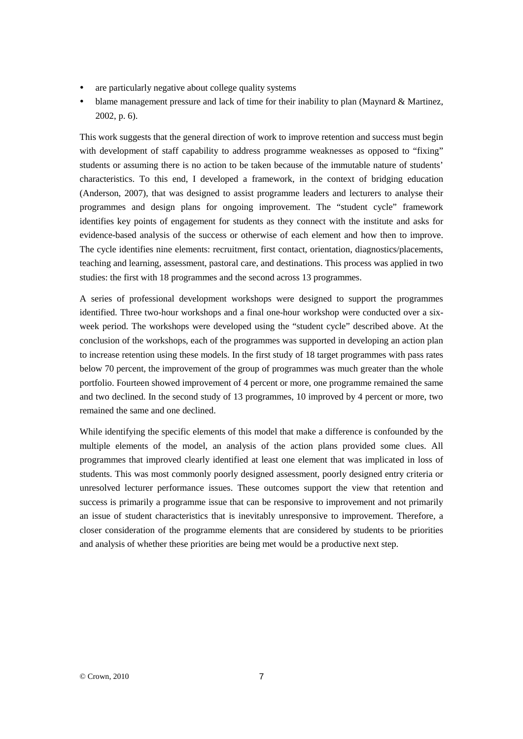- are particularly negative about college quality systems
- blame management pressure and lack of time for their inability to plan (Maynard & Martinez, 2002, p. 6).

This work suggests that the general direction of work to improve retention and success must begin with development of staff capability to address programme weaknesses as opposed to "fixing" students or assuming there is no action to be taken because of the immutable nature of students' characteristics. To this end, I developed a framework, in the context of bridging education (Anderson, 2007), that was designed to assist programme leaders and lecturers to analyse their programmes and design plans for ongoing improvement. The "student cycle" framework identifies key points of engagement for students as they connect with the institute and asks for evidence-based analysis of the success or otherwise of each element and how then to improve. The cycle identifies nine elements: recruitment, first contact, orientation, diagnostics/placements, teaching and learning, assessment, pastoral care, and destinations. This process was applied in two studies: the first with 18 programmes and the second across 13 programmes.

A series of professional development workshops were designed to support the programmes identified. Three two-hour workshops and a final one-hour workshop were conducted over a sixweek period. The workshops were developed using the "student cycle" described above. At the conclusion of the workshops, each of the programmes was supported in developing an action plan to increase retention using these models. In the first study of 18 target programmes with pass rates below 70 percent, the improvement of the group of programmes was much greater than the whole portfolio. Fourteen showed improvement of 4 percent or more, one programme remained the same and two declined. In the second study of 13 programmes, 10 improved by 4 percent or more, two remained the same and one declined.

While identifying the specific elements of this model that make a difference is confounded by the multiple elements of the model, an analysis of the action plans provided some clues. All programmes that improved clearly identified at least one element that was implicated in loss of students. This was most commonly poorly designed assessment, poorly designed entry criteria or unresolved lecturer performance issues. These outcomes support the view that retention and success is primarily a programme issue that can be responsive to improvement and not primarily an issue of student characteristics that is inevitably unresponsive to improvement. Therefore, a closer consideration of the programme elements that are considered by students to be priorities and analysis of whether these priorities are being met would be a productive next step.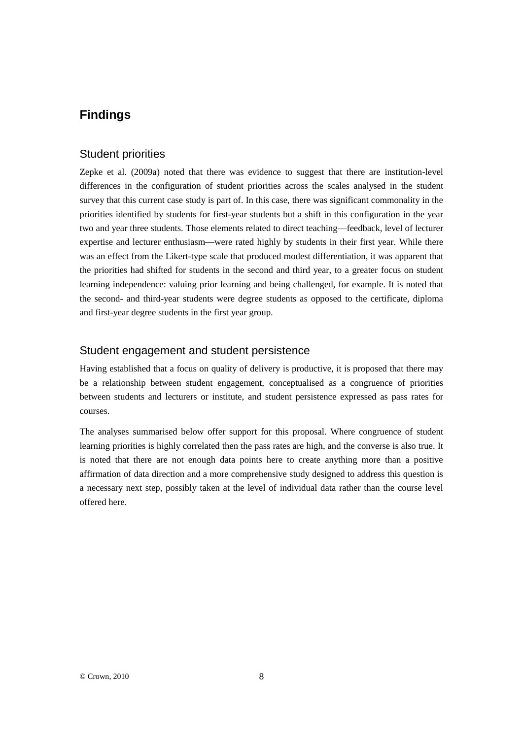# **Findings**

#### Student priorities

Zepke et al. (2009a) noted that there was evidence to suggest that there are institution-level differences in the configuration of student priorities across the scales analysed in the student survey that this current case study is part of. In this case, there was significant commonality in the priorities identified by students for first-year students but a shift in this configuration in the year two and year three students. Those elements related to direct teaching—feedback, level of lecturer expertise and lecturer enthusiasm—were rated highly by students in their first year. While there was an effect from the Likert-type scale that produced modest differentiation, it was apparent that the priorities had shifted for students in the second and third year, to a greater focus on student learning independence: valuing prior learning and being challenged, for example. It is noted that the second- and third-year students were degree students as opposed to the certificate, diploma and first-year degree students in the first year group.

#### Student engagement and student persistence

Having established that a focus on quality of delivery is productive, it is proposed that there may be a relationship between student engagement, conceptualised as a congruence of priorities between students and lecturers or institute, and student persistence expressed as pass rates for courses.

The analyses summarised below offer support for this proposal. Where congruence of student learning priorities is highly correlated then the pass rates are high, and the converse is also true. It is noted that there are not enough data points here to create anything more than a positive affirmation of data direction and a more comprehensive study designed to address this question is a necessary next step, possibly taken at the level of individual data rather than the course level offered here.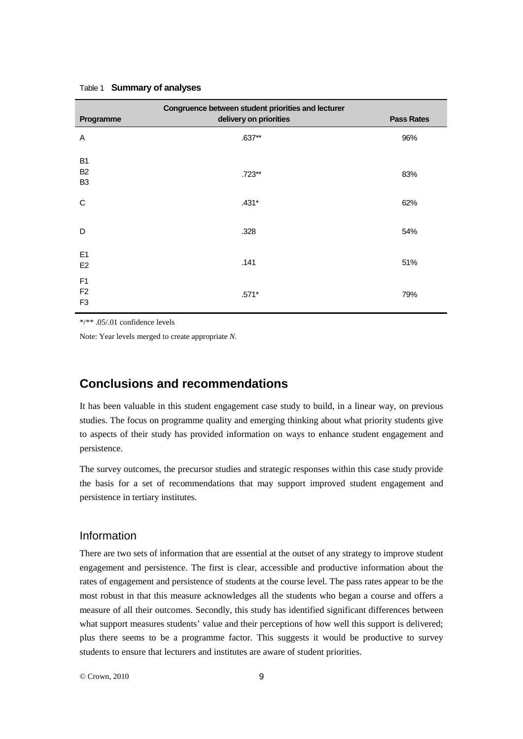| Programme                                     | Congruence between student priorities and lecturer<br>delivery on priorities | <b>Pass Rates</b> |
|-----------------------------------------------|------------------------------------------------------------------------------|-------------------|
| Α                                             | $.637**$                                                                     | 96%               |
| B <sub>1</sub><br><b>B2</b><br>B <sub>3</sub> | $.723**$                                                                     | 83%               |
| С                                             | $.431*$                                                                      | 62%               |
| D                                             | .328                                                                         | 54%               |
| E1<br>E <sub>2</sub>                          | .141                                                                         | 51%               |
| F1<br>F <sub>2</sub><br>F <sub>3</sub>        | $.571*$                                                                      | 79%               |

#### Table 1 **Summary of analyses**

\*/\*\* .05/.01 confidence levels

Note: Year levels merged to create appropriate *N*.

# **Conclusions and recommendations**

It has been valuable in this student engagement case study to build, in a linear way, on previous studies. The focus on programme quality and emerging thinking about what priority students give to aspects of their study has provided information on ways to enhance student engagement and persistence.

The survey outcomes, the precursor studies and strategic responses within this case study provide the basis for a set of recommendations that may support improved student engagement and persistence in tertiary institutes.

#### Information

There are two sets of information that are essential at the outset of any strategy to improve student engagement and persistence. The first is clear, accessible and productive information about the rates of engagement and persistence of students at the course level. The pass rates appear to be the most robust in that this measure acknowledges all the students who began a course and offers a measure of all their outcomes. Secondly, this study has identified significant differences between what support measures students' value and their perceptions of how well this support is delivered; plus there seems to be a programme factor. This suggests it would be productive to survey students to ensure that lecturers and institutes are aware of student priorities.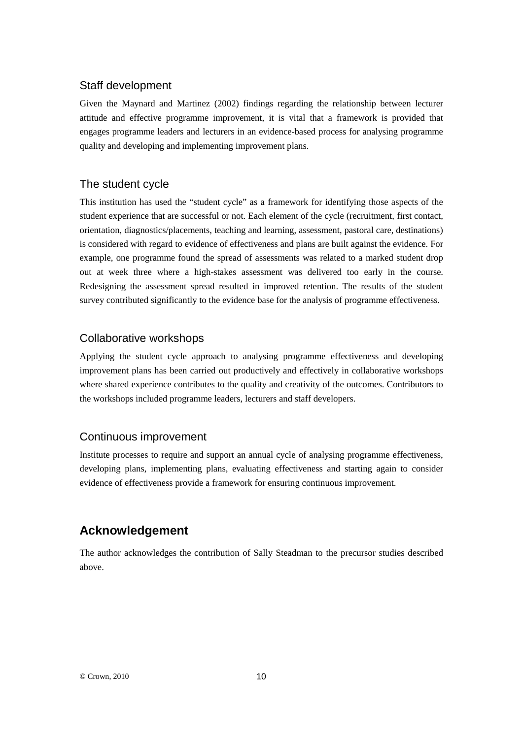## Staff development

Given the Maynard and Martinez (2002) findings regarding the relationship between lecturer attitude and effective programme improvement, it is vital that a framework is provided that engages programme leaders and lecturers in an evidence-based process for analysing programme quality and developing and implementing improvement plans.

#### The student cycle

This institution has used the "student cycle" as a framework for identifying those aspects of the student experience that are successful or not. Each element of the cycle (recruitment, first contact, orientation, diagnostics/placements, teaching and learning, assessment, pastoral care, destinations) is considered with regard to evidence of effectiveness and plans are built against the evidence. For example, one programme found the spread of assessments was related to a marked student drop out at week three where a high-stakes assessment was delivered too early in the course. Redesigning the assessment spread resulted in improved retention. The results of the student survey contributed significantly to the evidence base for the analysis of programme effectiveness.

#### Collaborative workshops

Applying the student cycle approach to analysing programme effectiveness and developing improvement plans has been carried out productively and effectively in collaborative workshops where shared experience contributes to the quality and creativity of the outcomes. Contributors to the workshops included programme leaders, lecturers and staff developers.

#### Continuous improvement

Institute processes to require and support an annual cycle of analysing programme effectiveness, developing plans, implementing plans, evaluating effectiveness and starting again to consider evidence of effectiveness provide a framework for ensuring continuous improvement.

# **Acknowledgement**

The author acknowledges the contribution of Sally Steadman to the precursor studies described above.